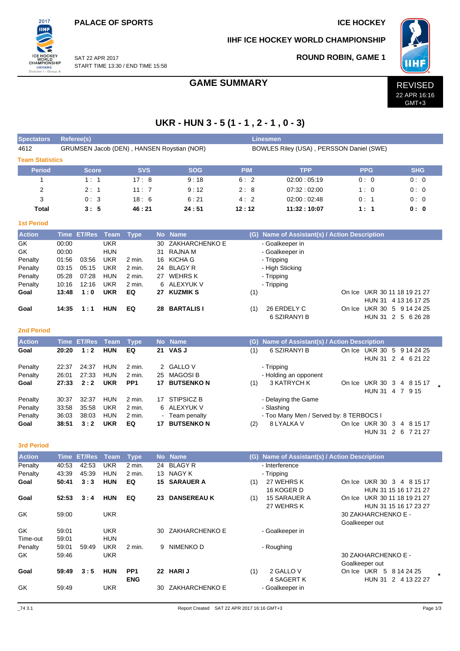**PALACE OF SPORTS ICE HOCKEY** 

 $2017$ **IIHF** 

ICE HOCKEY<br>WORLD<br>CHAMPIONSHIP<br>UKRAINE<br>Division I - Group A

**IIHF ICE HOCKEY WORLD CHAMPIONSHIP**

**ROUND ROBIN, GAME 1**



SAT 22 APR 2017 START TIME 13:30 / END TIME 15:58

# GAME SUMMARY **REVISED**



# **UKR - HUN 3 - 5 (1 - 1 , 2 - 1 , 0 - 3)**

| <b>Spectators</b>      | <b>Referee(s)</b> |              |             |             |     |                                            |                                          | <b>Linesmen</b>                           |            |            |  |  |  |  |  |
|------------------------|-------------------|--------------|-------------|-------------|-----|--------------------------------------------|------------------------------------------|-------------------------------------------|------------|------------|--|--|--|--|--|
| 4612                   |                   |              |             |             |     | GRUMSEN Jacob (DEN), HANSEN Roystian (NOR) | BOWLES Riley (USA), PERSSON Daniel (SWE) |                                           |            |            |  |  |  |  |  |
| <b>Team Statistics</b> |                   |              |             |             |     |                                            |                                          |                                           |            |            |  |  |  |  |  |
| <b>Period</b>          |                   | <b>Score</b> |             | <b>SVS</b>  |     | <b>SOG</b>                                 | <b>PIM</b>                               | <b>TPP</b>                                | <b>PPG</b> | <b>SHG</b> |  |  |  |  |  |
|                        |                   | 1:1          |             | 17:8        |     | 9:18                                       | 6:2                                      | 02:00:05:19                               | 0:0        | 0:0        |  |  |  |  |  |
| $\overline{2}$         |                   | 2:1          |             | 11:7        |     | 9:12                                       | 2:8                                      | 07:32:02:00                               | 1:0        | 0:0        |  |  |  |  |  |
| 3                      |                   | 0:3          |             | 18:6        |     | 6:21                                       | 4:2                                      | 02:00:02:48                               | 0: 1       | 0:0        |  |  |  |  |  |
| Total                  |                   | 3:5          |             | 46:21       |     | 24:51                                      | 12:12                                    | 11:32:10:07                               | 1:1        | 0: 0       |  |  |  |  |  |
| <b>1st Period</b>      |                   |              |             |             |     |                                            |                                          |                                           |            |            |  |  |  |  |  |
| <b>Action</b>          | Time ET/Res       |              | Team        | <b>Type</b> |     | No Name                                    | (G)                                      | Name of Assistant(s) / Action Description |            |            |  |  |  |  |  |
| GK.                    | 00:00             |              | <b>UKR</b>  |             | 30. | ZAKHARCHENKO E                             |                                          | - Goalkeeper in                           |            |            |  |  |  |  |  |
| GK.                    | 00:00             |              | <b>HUN</b>  |             | 31  | RAJNA M                                    |                                          | - Goalkeeper in                           |            |            |  |  |  |  |  |
| Penalty                | 01:56             | 03:56        | <b>UKR</b>  | 2 min.      |     | 16 KICHA G                                 |                                          | - Tripping                                |            |            |  |  |  |  |  |
| Donalty                | 03.15             | 05.15        | <b>IIKD</b> | 2 min       |     | 24 BLACY P                                 |                                          | - High Sticking                           |            |            |  |  |  |  |  |

| Penalty |       | 03:15  05:15  UKR |            | 2 min. | 24 BLAGY R    | - High Sticking    |                              |
|---------|-------|-------------------|------------|--------|---------------|--------------------|------------------------------|
| Penalty | 05:28 | 07:28             | HUN        | 2 min. | 27 WEHRS K    | - Tripping         |                              |
| Penalty | 10:16 | 12:16             | UKR        | 2 min. | 6 ALEXYUK V   | - Tripping         |                              |
| Goal    | 13:48 | 1:0               | <b>UKR</b> | EQ     | 27 KUZMIK S   | (1)                | On Ice UKR 30 11 18 19 21 27 |
|         |       |                   |            |        |               |                    | HUN 31 4 13 16 17 25         |
| Goal    |       | 14:35 1:1         | HUN        | EQ.    | 28 BARTALIS I | 26 ERDELY C<br>(1) | On Ice UKR 30 5 9 14 24 25   |
|         |       |                   |            |        |               | 6 SZIRANYI B       | HUN 31 2 5 6 26 28           |

#### **2nd Period**

| <b>Action</b> |       | Time ET/Res Team |            | Type            |    | No Name           |     | (G) Name of Assistant(s) / Action Description |        |                     |  |             |  |
|---------------|-------|------------------|------------|-----------------|----|-------------------|-----|-----------------------------------------------|--------|---------------------|--|-------------|--|
| Goal          | 20:20 | 1:2              | <b>HUN</b> | EQ              |    | 21 VAS J          | (1) | 6 SZIRANYI B                                  | On Ice | UKR 30 5 9 14 24 25 |  |             |  |
|               |       |                  |            |                 |    |                   |     |                                               |        | HUN 31 2 4 6 21 22  |  |             |  |
| Penalty       | 22:37 | 24:37            | <b>HUN</b> | 2 min.          |    | 2 GALLO V         |     | - Tripping                                    |        |                     |  |             |  |
| Penalty       | 26:01 | 27:33            | <b>HUN</b> | 2 min.          | 25 | MAGOSI B          |     | - Holding an opponent                         |        |                     |  |             |  |
| Goal          | 27:33 | 2:2              | <b>UKR</b> | PP <sub>1</sub> | 17 | <b>BUTSENKON</b>  | (1) | 3 KATRYCH K                                   | On Ice | UKR 30 3 4 8 15 17  |  |             |  |
|               |       |                  |            |                 |    |                   |     |                                               |        | HUN 31 4 7 9 15     |  |             |  |
| Penalty       | 30:37 | 32:37            | <b>HUN</b> | 2 min.          | 17 | STIPSICZ B        |     | - Delaying the Game                           |        |                     |  |             |  |
| Penalty       | 33.58 | 35.58            | <b>UKR</b> | 2 min.          |    | 6 ALEXYUK V       |     | - Slashing                                    |        |                     |  |             |  |
| Penalty       | 36:03 | 38.03            | <b>HUN</b> | 2 min.          |    | - Team penalty    |     | - Too Many Men / Served by: 8 TERBOCS I       |        |                     |  |             |  |
| Goal          | 38:51 | 3:2              | <b>UKR</b> | EQ              | 17 | <b>BUTSENKO N</b> | (2) | 8 LYALKA V                                    | On Ice | UKR 30 3            |  | 4 8 1 5 1 7 |  |
|               |       |                  |            |                 |    |                   |     |                                               |        | <b>HUN 31</b>       |  | 2 6 7 21 27 |  |

#### **3rd Period**

| <b>Action</b> | <b>Time</b> | <b>ET/Res</b> | Team       | <b>Type</b>     |    | No Name               | (G) | <b>Name of Assistant(s) / Action Description</b> |        |                               |  |
|---------------|-------------|---------------|------------|-----------------|----|-----------------------|-----|--------------------------------------------------|--------|-------------------------------|--|
| Penalty       | 40:53       | 42:53         | <b>UKR</b> | 2 min.          | 24 | <b>BLAGY R</b>        |     | - Interference                                   |        |                               |  |
| Penalty       | 43:39       | 45.39         | <b>HUN</b> | 2 min.          | 13 | NAGY K                |     | - Tripping                                       |        |                               |  |
| Goal          | 50:41       | 3:3           | <b>HUN</b> | EQ              | 15 | <b>SARAUER A</b>      | (1) | 27 WEHRS K                                       | On Ice | UKR 30 3<br>4 8 1 5 1 7       |  |
|               |             |               |            |                 |    |                       |     | 16 KOGER D                                       |        | HUN 31 15 16 17 21 27         |  |
| Goal          | 52:53       | 3:4           | <b>HUN</b> | EQ              | 23 | <b>DANSEREAU K</b>    | (1) | <b>15 SARAUER A</b>                              | On Ice | UKR 30 11 18 19 21 27         |  |
|               |             |               |            |                 |    |                       |     | 27 WEHRS K                                       |        | HUN 31 15 16 17 23 27         |  |
| GK            | 59:00       |               | <b>UKR</b> |                 |    |                       |     |                                                  |        | 30 ZAKHARCHENKO E -           |  |
|               |             |               |            |                 |    |                       |     |                                                  |        | Goalkeeper out                |  |
| GK.           | 59:01       |               | <b>UKR</b> |                 | 30 | <b>ZAKHARCHENKO E</b> |     | - Goalkeeper in                                  |        |                               |  |
| Time-out      | 59:01       |               | <b>HUN</b> |                 |    |                       |     |                                                  |        |                               |  |
| Penalty       | 59:01       | 59:49         | <b>UKR</b> | $2$ min.        | 9  | NIMENKO D             |     | - Roughing                                       |        |                               |  |
| GK            | 59:46       |               | <b>UKR</b> |                 |    |                       |     |                                                  |        | 30 ZAKHARCHENKO E -           |  |
|               |             |               |            |                 |    |                       |     |                                                  |        | Goalkeeper out                |  |
| Goal          | 59:49       | 3:5           | <b>HUN</b> | PP <sub>1</sub> | 22 | <b>HARIJ</b>          | (1) | 2 GALLO V                                        | On Ice | UKR<br>5<br>8 14 24 25        |  |
|               |             |               |            | <b>ENG</b>      |    |                       |     | 4 SAGERT K                                       |        | 2 4 13 22 27<br><b>HUN 31</b> |  |
| GK            | 59:49       |               | <b>UKR</b> |                 | 30 | ZAKHARCHENKO E        |     | - Goalkeeper in                                  |        |                               |  |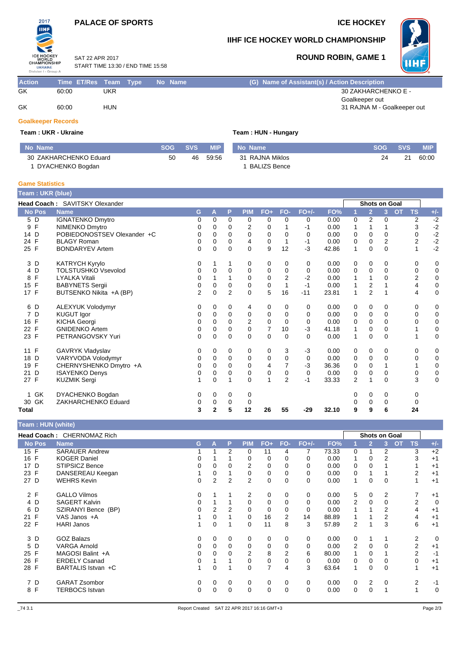### **PALACE OF SPORTS ICE HOCKEY**



#### **IIHF ICE HOCKEY WORLD CHAMPIONSHIP**

SAT 22 APR 2017 START TIME 13:30 / END TIME 15:58

### **ROUND ROBIN, GAME 1**



**Action Time ET/Res Team Type No Name (G) Name of Assistant(s) / Action Description** GK 60:00 UKR 30 ZAKHARCHENKO E - Goalkeeper out GK 60:00 HUN 60:00 HUN 60:00 HUN 60:00 HUN 60:00 HUN 31 RAJNA M - Goalkeeper out

# **Goalkeeper Records**

**Team : UKR - Ukraine Team : HUN - Hungary**

| No Name                | <b>SOG</b> | <b>SVS</b> | <b>MIP</b> | No Name         | SOG - | <b>SVS</b> | <b>MIP</b> |
|------------------------|------------|------------|------------|-----------------|-------|------------|------------|
| 30 ZAKHARCHENKO Eduard | 50         | 46.        | 59:56      | 31 RAJNA Miklos | 24    | 21         | 60:00      |
| DYACHENKO Bogdan       |            |            |            | BALIZS Bence    |       |            |            |

#### **Game Statistics**

| Team : UKR (blue) |                                |   |              |                |                |             |                |             |       |                |                      |                |           |                |             |
|-------------------|--------------------------------|---|--------------|----------------|----------------|-------------|----------------|-------------|-------|----------------|----------------------|----------------|-----------|----------------|-------------|
|                   | Head Coach: SAVITSKY Olexander |   |              |                |                |             |                |             |       |                | <b>Shots on Goal</b> |                |           |                |             |
| <b>No Pos</b>     | <b>Name</b>                    | G | A            | P              | <b>PIM</b>     | $FO+$       | FO-            | $FO+/-$     | FO%   |                | $\overline{2}$       | 3              | <b>OT</b> | <b>TS</b>      | $+/-$       |
| 5 D               | <b>IGNATENKO Dmytro</b>        | 0 | 0            | 0              | 0              | 0           | 0              | 0           | 0.00  | 0              | $\overline{2}$       | 0              |           | $\overline{c}$ | $-2$        |
| F<br>9            | NIMENKO Dmytro                 | 0 | 0            | $\Omega$       | $\overline{2}$ | 0           |                | -1          | 0.00  | 1              | 1                    |                |           | 3              | $-2$        |
| 14 D              | POBIEDONOSTSEV Olexander +C    | 0 | 0            | 0              | 0              | 0           | 0              | 0           | 0.00  | 0              | 0                    | 0              |           | 0              | $-2$        |
| F<br>24           | <b>BLAGY Roman</b>             | 0 | $\Omega$     | $\Omega$       | 4              | 0           | $\mathbf{1}$   | $-1$        | 0.00  | 0              | 0                    | $\overline{2}$ |           | $\overline{2}$ | $-2$        |
| 25 F              | <b>BONDARYEV Artem</b>         | 0 | $\Omega$     | $\Omega$       | $\Omega$       | 9           | 12             | $-3$        | 42.86 | 1              | $\Omega$             | 0              |           |                | $-2$        |
| 3 D               | KATRYCH Kyrylo                 | 0 |              |                | 0              | 0           | 0              | 0           | 0.00  | 0              | 0                    | 0              |           | 0              | 0           |
| 4 D               | <b>TOLSTUSHKO Vsevolod</b>     | 0 | 0            | 0              | 0              | 0           | 0              | 0           | 0.00  | 0              | 0                    | 0              |           | 0              | 0           |
| F<br>8            | <b>LYALKA Vitali</b>           | 0 |              |                | $\mathbf 0$    | 0           | $\overline{2}$ | $-2$        | 0.00  | 1              |                      | 0              |           | $\overline{2}$ | $\pmb{0}$   |
| 15<br>F           | <b>BABYNETS Sergii</b>         | 0 | 0            | $\mathbf 0$    | $\mathbf 0$    | $\mathbf 0$ | $\mathbf{1}$   | $-1$        | 0.00  | 1              | 2                    |                |           | 4              | $\mathbf 0$ |
| 17 F              | BUTSENKO Nikita +A (BP)        | 2 | $\Omega$     | $\overline{2}$ | $\Omega$       | 5           | 16             | $-11$       | 23.81 | 1              | $\overline{2}$       | 1              |           | 4              | $\mathbf 0$ |
| 6 D               | ALEXYUK Volodymyr              | 0 | 0            | 0              | 4              | 0           | 0              | 0           | 0.00  | 0              | 0                    | 0              |           | 0              | 0           |
| 7 D               | <b>KUGUT Igor</b>              | 0 | 0            | 0              | 0              | 0           | 0              | 0           | 0.00  | 0              | 0                    | 0              |           | 0              | $\mathbf 0$ |
| 16 F              | <b>KICHA Georgi</b>            | 0 | 0            | $\Omega$       | $\overline{2}$ | $\mathbf 0$ | $\Omega$       | 0           | 0.00  | 0              | $\mathbf 0$          | $\Omega$       |           | 0              | $\mathbf 0$ |
| 22 F              | <b>GNIDENKO Artem</b>          | 0 | 0            | 0              | 0              | 7           | 10             | $-3$        | 41.18 | 1              | 0                    | 0              |           |                | $\mathbf 0$ |
| 23 F              | PETRANGOVSKY Yuri              | 0 | $\Omega$     | $\Omega$       | $\Omega$       | $\Omega$    | $\Omega$       | $\Omega$    | 0.00  | $\mathbf{1}$   | $\Omega$             | $\Omega$       |           |                | $\mathbf 0$ |
| F<br>11           | GAVRYK Vladyslav               | 0 | 0            | 0              | 0              | 0           | 3              | -3          | 0.00  | 0              | 0                    | 0              |           | 0              | 0           |
| D<br>18           | VARYVODA Volodymyr             | 0 | 0            | $\mathbf 0$    | $\mathbf 0$    | 0           | $\mathbf 0$    | 0           | 0.00  | 0              | 0                    | 0              |           | 0              | $\mathbf 0$ |
| F<br>19           | CHERNYSHENKO Dmytro +A         | 0 | $\Omega$     | $\Omega$       | 0              | 4           | $\overline{7}$ | $-3$        | 36.36 | 0              | 0                    |                |           |                | $\pmb{0}$   |
| D<br>21           | <b>ISAYENKO Denys</b>          | 0 | 0            | $\Omega$       | $\mathbf 0$    | $\pmb{0}$   | 0              | $\mathbf 0$ | 0.00  | 0              | 0                    | 0              |           | 0              | $\pmb{0}$   |
| 27 F              | <b>KUZMIK Sergi</b>            |   | $\Omega$     |                | $\Omega$       | 1           | $\overline{2}$ | $-1$        | 33.33 | $\overline{2}$ |                      | $\Omega$       |           | 3              | $\mathbf 0$ |
| GK<br>1           | DYACHENKO Bogdan               | 0 | 0            | 0              | 0              |             |                |             |       | 0              | 0                    | 0              |           | 0              |             |
| 30 GK             | ZAKHARCHENKO Eduard            | 0 | 0            | 0              | 0              |             |                |             |       | 0              | 0                    | 0              |           | 0              |             |
| Total             |                                | 3 | $\mathbf{2}$ | 5              | 12             | 26          | 55             | $-29$       | 32.10 | 9              | 9                    | 6              |           | 24             |             |

| Team: HUN (white) |                            |   |   |             |            |                |             |          |       |   |                |                      |                |          |
|-------------------|----------------------------|---|---|-------------|------------|----------------|-------------|----------|-------|---|----------------|----------------------|----------------|----------|
|                   | Head Coach: CHERNOMAZ Rich |   |   |             |            |                |             |          |       |   |                | <b>Shots on Goal</b> |                |          |
| <b>No Pos</b>     | <b>Name</b>                | G | Α | P           | <b>PIM</b> | $FO+$          | FO-         | $FO+/-$  | FO%   |   | $\overline{2}$ | OT<br>3              | <b>TS</b>      | $+/-$    |
| 15 F              | <b>SARAUER Andrew</b>      |   |   | 2           | 0          | 11             | 4           | 7        | 73.33 | 0 |                | 2                    | 3              | $+2$     |
| 16 F              | <b>KOGER Daniel</b>        | 0 |   |             | 0          | 0              | 0           | 0        | 0.00  | 1 | 0              | 2                    | 3              | $+1$     |
| 17 D              | <b>STIPSICZ Bence</b>      | 0 | 0 | $\Omega$    | 2          | 0              | 0           | 0        | 0.00  | 0 | 0              |                      |                | $+1$     |
| 23 F              | DANSEREAU Keegan           |   | 0 |             | 0          | 0              | 0           | 0        | 0.00  | 0 |                |                      | $\overline{2}$ | $+1$     |
| 27 D              | <b>WEHRS Kevin</b>         | 0 | 2 | 2           | 2          | 0              | $\mathbf 0$ | $\Omega$ | 0.00  | 1 | 0              | $\Omega$             |                | $+1$     |
| 2 F               | <b>GALLO Vilmos</b>        | 0 |   |             | 2          | 0              | 0           | 0        | 0.00  | 5 | 0              | 2                    | 7              | $+1$     |
| 4 D               | <b>SAGERT Kalvin</b>       | 0 |   |             | 0          | 0              |             | 0        | 0.00  | 2 | 0              | 0                    | $\overline{2}$ | 0        |
| 6 D               | SZIRANYI Bence (BP)        | 0 | 2 | 2           | 0          | 0              | 0           | 0        | 0.00  |   |                | 2                    | 4              | $+1$     |
| 21 F              | VAS Janos +A               |   | 0 |             | 0          | 16             | 2           | 14       | 88.89 |   |                | 2                    | 4              | $+1$     |
| 22 F              | <b>HARI Janos</b>          | 1 | 0 |             | 0          | 11             | 8           | 3        | 57.89 | 2 |                | 3                    | 6              | $+1$     |
| 3 D               | <b>GOZ Balazs</b>          | 0 | 0 | $\mathbf 0$ | 0          | 0              | 0           | 0        | 0.00  | 0 |                |                      | $\overline{2}$ | $\Omega$ |
| 5 D               | <b>VARGA Arnold</b>        | 0 | 0 | 0           | 0          | 0              | $\Omega$    | $\Omega$ | 0.00  | 2 | 0              | $\Omega$             | $\overline{2}$ | $+1$     |
| 25 F              | MAGOSI Balint +A           | 0 | 0 | 0           | 2          | 8              | 2           | 6        | 80.00 | 1 | 0              |                      | $\overline{2}$ | -1       |
| 26 F              | <b>ERDELY Csanad</b>       | 0 |   |             | 0          | 0              | 0           | 0        | 0.00  | 0 | 0              |                      | $\mathbf 0$    | $+1$     |
| 28 F              | BARTALIS Istvan +C         | 1 | 0 |             | 0          | $\overline{7}$ | 4           | 3        | 63.64 |   | 0              | 0                    | 1              | $+1$     |
| 7 D               | <b>GARAT Zsombor</b>       | 0 | 0 | 0           | 0          | 0              | 0           | 0        | 0.00  | 0 | 2              | 0                    | 2              | -1       |
| 8 F               | <b>TERBOCS Istvan</b>      | 0 | 0 | 0           | 0          | 0              | $\Omega$    | 0        | 0.00  | 0 | 0              |                      |                | $\Omega$ |